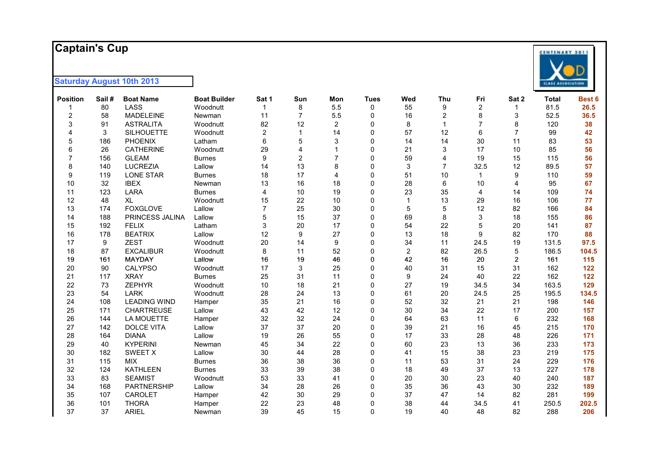### **Captain's Cup**

| <b>Position</b>  | Sail# | <b>Boat Name</b>    | <b>Boat Builder</b> | Sat 1          | Sun            | Mon                     | <b>Tues</b> | Wed            | <b>Thu</b>     | Fri            | Sat 2          | <b>Total</b> | Best 6 |
|------------------|-------|---------------------|---------------------|----------------|----------------|-------------------------|-------------|----------------|----------------|----------------|----------------|--------------|--------|
|                  | 80    | LASS                | Woodnutt            | 1              | 8              | 5.5                     | $\Omega$    | 55             | 9              | 2              | 1              | 81.5         | 26.5   |
| $\boldsymbol{2}$ | 58    | <b>MADELEINE</b>    | Newman              | 11             | $\overline{7}$ | 5.5                     | 0           | 16             | $\overline{c}$ | 8              | 3              | 52.5         | 36.5   |
| 3                | 91    | <b>ASTRALITA</b>    | Woodnutt            | 82             | 12             | $\overline{\mathbf{c}}$ | $\Omega$    | 8              | $\mathbf{1}$   | $\overline{7}$ | 8              | 120          | 38     |
| 4                | 3     | <b>SILHOUETTE</b>   | Woodnutt            | $\overline{c}$ |                | 14                      | $\Omega$    | 57             | 12             | 6              | $\overline{7}$ | 99           | 42     |
| $\,$ 5 $\,$      | 186   | <b>PHOENIX</b>      | Latham              | 6              | 5              | 3                       | $\Omega$    | 14             | 14             | 30             | 11             | 83           | 53     |
| 6                | 26    | <b>CATHERINE</b>    | Woodnutt            | 29             | 4              |                         | $\Omega$    | 21             | 3              | 17             | 10             | 85           | 56     |
| $\overline{7}$   | 156   | <b>GLEAM</b>        | <b>Burnes</b>       | 9              | $\overline{2}$ | 7                       | $\Omega$    | 59             | 4              | 19             | 15             | 115          | 56     |
| 8                | 140   | <b>LUCREZIA</b>     | Lallow              | 14             | 13             | 8                       | $\Omega$    | $\mathsf 3$    | $\overline{7}$ | 32.5           | 12             | 89.5         | 57     |
| 9                | 119   | <b>LONE STAR</b>    | <b>Burnes</b>       | 18             | 17             | 4                       | $\Omega$    | 51             | 10             | 1              | 9              | 110          | 59     |
| 10               | 32    | <b>IBEX</b>         | Newman              | 13             | 16             | 18                      | $\Omega$    | 28             | 6              | 10             | 4              | 95           | 67     |
| 11               | 123   | LARA                | <b>Burnes</b>       | 4              | 10             | 19                      | $\Omega$    | 23             | 35             | 4              | 14             | 109          | 74     |
| 12               | 48    | <b>XL</b>           | Woodnutt            | 15             | 22             | 10                      | $\Omega$    | $\mathbf{1}$   | 13             | 29             | 16             | 106          | 77     |
| 13               | 174   | <b>FOXGLOVE</b>     | Lallow              | $\overline{7}$ | 25             | 30                      | $\Omega$    | 5              | 5              | 12             | 82             | 166          | 84     |
| 14               | 188   | PRINCESS JALINA     | Lallow              | 5              | 15             | 37                      | $\Omega$    | 69             | 8              | 3              | 18             | 155          | 86     |
| 15               | 192   | <b>FELIX</b>        | Latham              | 3              | 20             | 17                      | $\Omega$    | 54             | 22             | 5              | 20             | 141          | 87     |
| 16               | 178   | <b>BEATRIX</b>      | Lallow              | 12             | 9              | 27                      | $\Omega$    | 13             | 18             | 9              | 82             | 170          | 88     |
| 17               | 9     | <b>ZEST</b>         | Woodnutt            | 20             | 14             | 9                       | $\Omega$    | 34             | 11             | 24.5           | 19             | 131.5        | 97.5   |
| 18               | 87    | <b>EXCALIBUR</b>    | Woodnutt            | 8              | 11             | 52                      | $\Omega$    | $\overline{c}$ | 82             | 26.5           | 5              | 186.5        | 104.5  |
| 19               | 161   | <b>MAYDAY</b>       | Lallow              | 16             | 19             | 46                      | $\Omega$    | 42             | 16             | 20             | $\overline{2}$ | 161          | 115    |
| 20               | 90    | <b>CALYPSO</b>      | Woodnutt            | 17             | 3              | 25                      | $\Omega$    | 40             | 31             | 15             | 31             | 162          | 122    |
| 21               | 117   | <b>XRAY</b>         | <b>Burnes</b>       | 25             | 31             | 11                      | $\Omega$    | 9              | 24             | 40             | 22             | 162          | 122    |
| 22               | 73    | <b>ZEPHYR</b>       | Woodnutt            | 10             | 18             | 21                      | $\Omega$    | 27             | 19             | 34.5           | 34             | 163.5        | 129    |
| 23               | 54    | <b>LARK</b>         | Woodnutt            | 28             | 24             | 13                      | $\Omega$    | 61             | 20             | 24.5           | 25             | 195.5        | 134.5  |
| 24               | 108   | <b>LEADING WIND</b> | Hamper              | 35             | 21             | 16                      | $\Omega$    | 52             | 32             | 21             | 21             | 198          | 146    |
| 25               | 171   | <b>CHARTREUSE</b>   | Lallow              | 43             | 42             | 12                      | $\Omega$    | 30             | 34             | 22             | 17             | 200          | 157    |
| 26               | 144   | LA MOUETTE          | Hamper              | 32             | 32             | 24                      | $\Omega$    | 64             | 63             | 11             | 6              | 232          | 168    |
| 27               | 142   | <b>DOLCE VITA</b>   | Lallow              | 37             | 37             | 20                      | $\Omega$    | 39             | 21             | 16             | 45             | 215          | 170    |
| 28               | 164   | <b>DIANA</b>        | Lallow              | 19             | 26             | 55                      | $\Omega$    | 17             | 33             | 28             | 48             | 226          | 171    |
| 29               | 40    | <b>KYPERINI</b>     | Newman              | 45             | 34             | 22                      | 0           | 60             | 23             | 13             | 36             | 233          | 173    |
| 30               | 182   | <b>SWEET X</b>      | Lallow              | 30             | 44             | 28                      | $\Omega$    | 41             | 15             | 38             | 23             | 219          | 175    |
| 31               | 115   | <b>MIX</b>          | <b>Burnes</b>       | 36             | 38             | 36                      | 0           | 11             | 53             | 31             | 24             | 229          | 176    |
| 32               | 124   | <b>KATHLEEN</b>     | <b>Burnes</b>       | 33             | 39             | 38                      | 0           | 18             | 49             | 37             | 13             | 227          | 178    |
| 33               | 83    | <b>SEAMIST</b>      | Woodnutt            | 53             | 33             | 41                      | 0           | 20             | 30             | 23             | 40             | 240          | 187    |
| 34               | 168   | <b>PARTNERSHIP</b>  | Lallow              | 34             | 28             | 26                      | 0           | 35             | 36             | 43             | 30             | 232          | 189    |
| 35               | 107   | CAROLET             | Hamper              | 42             | 30             | 29                      | 0           | 37             | 47             | 14             | 82             | 281          | 199    |
| 36               | 101   | <b>THORA</b>        | Hamper              | 22             | 23             | 48                      | $\Omega$    | 38             | 44             | 34.5           | 41             | 250.5        | 202.5  |
| 37               | 37    | <b>ARIEL</b>        | Newman              | 39             | 45             | 15                      | $\Omega$    | 19             | 40             | 48             | 82             | 288          | 206    |

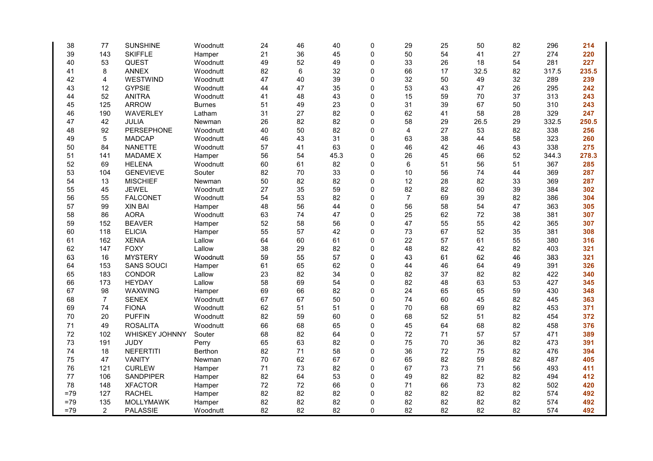| 38    | 77             | <b>SUNSHINE</b>   | Woodnutt       | 24 | 46 | 40   | 0           | 29             | 25 | 50   | 82 | 296   | 214   |
|-------|----------------|-------------------|----------------|----|----|------|-------------|----------------|----|------|----|-------|-------|
| 39    | 143            | <b>SKIFFLE</b>    | Hamper         | 21 | 36 | 45   | 0           | 50             | 54 | 41   | 27 | 274   | 220   |
| 40    | 53             | QUEST             | Woodnutt       | 49 | 52 | 49   | $\mathbf 0$ | 33             | 26 | 18   | 54 | 281   | 227   |
| 41    | 8              | <b>ANNEX</b>      | Woodnutt       | 82 | 6  | 32   | 0           | 66             | 17 | 32.5 | 82 | 317.5 | 235.5 |
| 42    | 4              | WESTWIND          | Woodnutt       | 47 | 40 | 39   | 0           | 32             | 50 | 49   | 32 | 289   | 239   |
| 43    | 12             | <b>GYPSIE</b>     | Woodnutt       | 44 | 47 | 35   | 0           | 53             | 43 | 47   | 26 | 295   | 242   |
| 44    | 52             | <b>ANITRA</b>     | Woodnutt       | 41 | 48 | 43   | 0           | 15             | 59 | 70   | 37 | 313   | 243   |
| 45    | 125            | <b>ARROW</b>      | <b>Burnes</b>  | 51 | 49 | 23   | 0           | 31             | 39 | 67   | 50 | 310   | 243   |
| 46    | 190            | WAVERLEY          | Latham         | 31 | 27 | 82   | 0           | 62             | 41 | 58   | 28 | 329   | 247   |
| 47    | 42             | JULIA             | Newman         | 26 | 82 | 82   | 0           | 58             | 29 | 26.5 | 29 | 332.5 | 250.5 |
| 48    | 92             | PERSEPHONE        | Woodnutt       | 40 | 50 | 82   | 0           | 4              | 27 | 53   | 82 | 338   | 256   |
| 49    | 5              | <b>MADCAP</b>     | Woodnutt       | 46 | 43 | 31   | 0           | 63             | 38 | 44   | 58 | 323   | 260   |
| 50    | 84             | <b>NANETTE</b>    | Woodnutt       | 57 | 41 | 63   | 0           | 46             | 42 | 46   | 43 | 338   | 275   |
| 51    | 141            | <b>MADAME X</b>   | Hamper         | 56 | 54 | 45.3 | 0           | 26             | 45 | 66   | 52 | 344.3 | 278.3 |
| 52    | 69             | <b>HELENA</b>     | Woodnutt       | 60 | 61 | 82   | 0           | 6              | 51 | 56   | 51 | 367   | 285   |
| 53    | 104            | <b>GENEVIEVE</b>  | Souter         | 82 | 70 | 33   | 0           | 10             | 56 | 74   | 44 | 369   | 287   |
| 54    | 13             | <b>MISCHIEF</b>   | Newman         | 50 | 82 | 82   | 0           | 12             | 28 | 82   | 33 | 369   | 287   |
| 55    | 45             | <b>JEWEL</b>      | Woodnutt       | 27 | 35 | 59   | 0           | 82             | 82 | 60   | 39 | 384   | 302   |
| 56    | 55             | <b>FALCONET</b>   | Woodnutt       | 54 | 53 | 82   | 0           | $\overline{7}$ | 69 | 39   | 82 | 386   | 304   |
| 57    | 99             | XIN BAI           | Hamper         | 48 | 56 | 44   | 0           | 56             | 58 | 54   | 47 | 363   | 305   |
| 58    | 86             | <b>AORA</b>       | Woodnutt       | 63 | 74 | 47   | 0           | 25             | 62 | 72   | 38 | 381   | 307   |
| 59    | 152            | <b>BEAVER</b>     | Hamper         | 52 | 58 | 56   | 0           | 47             | 55 | 55   | 42 | 365   | 307   |
| 60    | 118            | <b>ELICIA</b>     | Hamper         | 55 | 57 | 42   | 0           | 73             | 67 | 52   | 35 | 381   | 308   |
| 61    | 162            | <b>XENIA</b>      | Lallow         | 64 | 60 | 61   | 0           | 22             | 57 | 61   | 55 | 380   | 316   |
| 62    | 147            | <b>FOXY</b>       | Lallow         | 38 | 29 | 82   | 0           | 48             | 82 | 42   | 82 | 403   | 321   |
| 63    | 16             | <b>MYSTERY</b>    | Woodnutt       | 59 | 55 | 57   | 0           | 43             | 61 | 62   | 46 | 383   | 321   |
| 64    | 153            | <b>SANS SOUCI</b> | Hamper         | 61 | 65 | 62   | 0           | 44             | 46 | 64   | 49 | 391   | 326   |
| 65    | 183            | CONDOR            | Lallow         | 23 | 82 | 34   | 0           | 82             | 37 | 82   | 82 | 422   | 340   |
| 66    | 173            | <b>HEYDAY</b>     | Lallow         | 58 | 69 | 54   | 0           | 82             | 48 | 63   | 53 | 427   | 345   |
| 67    | 98             | WAXWING           | Hamper         | 69 | 66 | 82   | 0           | 24             | 65 | 65   | 59 | 430   | 348   |
| 68    | $\overline{7}$ | <b>SENEX</b>      | Woodnutt       | 67 | 67 | 50   | 0           | 74             | 60 | 45   | 82 | 445   | 363   |
| 69    | 74             | <b>FIONA</b>      | Woodnutt       | 62 | 51 | 51   | 0           | 70             | 68 | 69   | 82 | 453   | 371   |
| 70    | 20             | <b>PUFFIN</b>     | Woodnutt       | 82 | 59 | 60   | 0           | 68             | 52 | 51   | 82 | 454   | 372   |
| 71    | 49             | <b>ROSALITA</b>   | Woodnutt       | 66 | 68 | 65   | 0           | 45             | 64 | 68   | 82 | 458   | 376   |
| 72    | 102            | WHISKEY JOHNNY    | Souter         | 68 | 82 | 64   | 0           | 72             | 71 | 57   | 57 | 471   | 389   |
| 73    | 191            | <b>JUDY</b>       | Perry          | 65 | 63 | 82   | 0           | 75             | 70 | 36   | 82 | 473   | 391   |
| 74    | 18             | <b>NEFERTITI</b>  | <b>Berthon</b> | 82 | 71 | 58   | 0           | 36             | 72 | 75   | 82 | 476   | 394   |
| 75    | 47             | <b>VANITY</b>     | Newman         | 70 | 62 | 67   | 0           | 65             | 82 | 59   | 82 | 487   | 405   |
| 76    | 121            | <b>CURLEW</b>     | Hamper         | 71 | 73 | 82   | 0           | 67             | 73 | 71   | 56 | 493   | 411   |
| 77    | 106            | <b>SANDPIPER</b>  | Hamper         | 82 | 64 | 53   | 0           | 49             | 82 | 82   | 82 | 494   | 412   |
| 78    | 148            | <b>XFACTOR</b>    | Hamper         | 72 | 72 | 66   | 0           | 71             | 66 | 73   | 82 | 502   | 420   |
| $=79$ | 127            | <b>RACHEL</b>     | Hamper         | 82 | 82 | 82   | 0           | 82             | 82 | 82   | 82 | 574   | 492   |
| $=79$ | 135            | MOLLYMAWK         | Hamper         | 82 | 82 | 82   | 0           | 82             | 82 | 82   | 82 | 574   | 492   |
| $=79$ | 2              | <b>PALASSIE</b>   | Woodnutt       | 82 | 82 | 82   | 0           | 82             | 82 | 82   | 82 | 574   | 492   |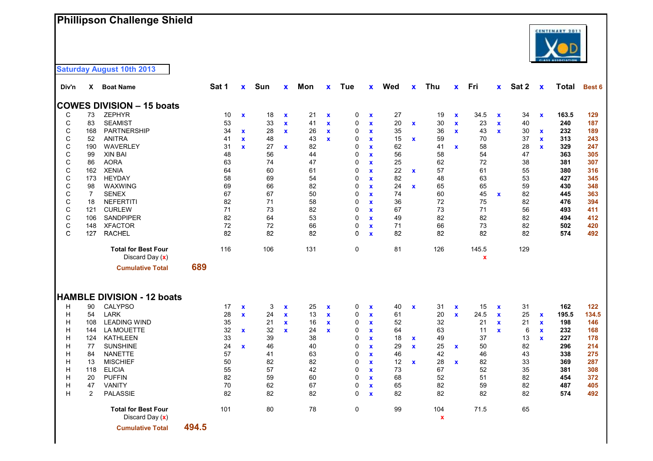### **Phillipson Challenge Shield**



| Div'n       | X.             | <b>Boat Name</b>                                |       | Sat 1 | $\mathbf{x}$       | Sun | X            | Mon | X            | <b>Tue</b> | $\mathbf{x}$       | Wed | $\mathbf{x}$ | <b>Thu</b>                       | $\mathbf{x}$              | Fri   | <b>x</b>           | Sat 2 | $\mathbf x$        | <b>Total</b> | Best 6 |
|-------------|----------------|-------------------------------------------------|-------|-------|--------------------|-----|--------------|-----|--------------|------------|--------------------|-----|--------------|----------------------------------|---------------------------|-------|--------------------|-------|--------------------|--------------|--------|
|             |                | <b>COWES DIVISION - 15 boats</b>                |       |       |                    |     |              |     |              |            |                    |     |              |                                  |                           |       |                    |       |                    |              |        |
| C           | 73             | <b>ZEPHYR</b>                                   |       | 10    | $\pmb{\mathsf{x}}$ | 18  | $\mathbf x$  | 21  | $\mathbf x$  | 0          | $\pmb{\mathsf{x}}$ | 27  |              | 19                               | $\boldsymbol{\mathsf{x}}$ | 34.5  | $\pmb{\mathsf{x}}$ | 34    | $\pmb{\mathsf{x}}$ | 163.5        | 129    |
| С           | 83             | <b>SEAMIST</b>                                  |       | 53    |                    | 33  | $\mathbf x$  | 41  | $\mathbf x$  | 0          | $\mathbf x$        | 20  | $\mathbf x$  | 30                               | $\mathbf x$               | 23    | $\mathbf{x}$       | 40    |                    | 240          | 187    |
| C           | 168            | <b>PARTNERSHIP</b>                              |       | 34    | $\mathbf x$        | 28  | $\mathbf{x}$ | 26  | $\mathbf{x}$ | 0          | $\mathbf{x}$       | 35  |              | 36                               | $\mathbf{x}$              | 43    | $\mathbf{x}$       | 30    | $\mathbf{x}$       | 232          | 189    |
| C           | 52             | <b>ANITRA</b>                                   |       | 41    | $\mathbf x$        | 48  |              | 43  | $\mathbf{x}$ | 0          | $\mathbf{x}$       | 15  | $\mathbf x$  | 59                               |                           | 70    |                    | 37    | $\mathbf{x}$       | 313          | 243    |
| C           | 190            | WAVERLEY                                        |       | 31    | $\mathbf{x}$       | 27  | $\mathbf x$  | 82  |              | 0          | $\mathbf{x}$       | 62  |              | 41                               | $\mathbf x$               | 58    |                    | 28    | $\mathbf{x}$       | 329          | 247    |
| C           | 99             | <b>XIN BAI</b>                                  |       | 48    |                    | 56  |              | 44  |              | 0          | $\mathbf x$        | 56  |              | 58                               |                           | 54    |                    | 47    |                    | 363          | 305    |
| С           | 86             | <b>AORA</b>                                     |       | 63    |                    | 74  |              | 47  |              | 0          | $\mathbf x$        | 25  |              | 62                               |                           | 72    |                    | 38    |                    | 381          | 307    |
| С           | 162            | <b>XENIA</b>                                    |       | 64    |                    | 60  |              | 61  |              | 0          | $\mathbf{x}$       | 22  | $\mathbf x$  | 57                               |                           | 61    |                    | 55    |                    | 380          | 316    |
| C           | 173            | <b>HEYDAY</b>                                   |       | 58    |                    | 69  |              | 54  |              | 0          | $\mathbf{x}$       | 82  |              | 48                               |                           | 63    |                    | 53    |                    | 427          | 345    |
| C           | 98             | WAXWING                                         |       | 69    |                    | 66  |              | 82  |              | 0          | $\mathbf x$        | 24  | $\mathbf x$  | 65                               |                           | 65    |                    | 59    |                    | 430          | 348    |
| C           | 7              | <b>SENEX</b>                                    |       | 67    |                    | 67  |              | 50  |              | 0          | $\mathbf x$        | 74  |              | 60                               |                           | 45    | $\mathbf{x}$       | 82    |                    | 445          | 363    |
| C           | 18             | <b>NEFERTITI</b>                                |       | 82    |                    | 71  |              | 58  |              | 0          | $\mathbf x$        | 36  |              | 72                               |                           | 75    |                    | 82    |                    | 476          | 394    |
| C           | 121            | <b>CURLEW</b>                                   |       | 71    |                    | 73  |              | 82  |              | 0          | $\mathbf{x}$       | 67  |              | 73                               |                           | 71    |                    | 56    |                    | 493          | 411    |
| $\mathsf C$ | 106            | SANDPIPER                                       |       | 82    |                    | 64  |              | 53  |              | 0          | $\mathbf x$        | 49  |              | 82                               |                           | 82    |                    | 82    |                    | 494          | 412    |
| C           | 148            | <b>XFACTOR</b>                                  |       | 72    |                    | 72  |              | 66  |              | 0          | $\mathbf{x}$       | 71  |              | 66                               |                           | 73    |                    | 82    |                    | 502          | 420    |
| C           | 127            | <b>RACHEL</b>                                   |       | 82    |                    | 82  |              | 82  |              | 0          | $\mathbf{x}$       | 82  |              | 82                               |                           | 82    |                    | 82    |                    | 574          | 492    |
|             |                | <b>Total for Best Four</b>                      |       | 116   |                    | 106 |              | 131 |              | 0          |                    | 81  |              | 126                              |                           | 145.5 |                    | 129   |                    |              |        |
|             |                | Discard Day (x)                                 |       |       |                    |     |              |     |              |            |                    |     |              |                                  |                           | X     |                    |       |                    |              |        |
|             |                | <b>Cumulative Total</b>                         | 689   |       |                    |     |              |     |              |            |                    |     |              |                                  |                           |       |                    |       |                    |              |        |
|             |                |                                                 |       |       |                    |     |              |     |              |            |                    |     |              |                                  |                           |       |                    |       |                    |              |        |
|             |                | <b>HAMBLE DIVISION - 12 boats</b>               |       |       |                    |     |              |     |              |            |                    |     |              |                                  |                           |       |                    |       |                    |              |        |
| н           | 90             | <b>CALYPSO</b>                                  |       | 17    | $\mathbf x$        | 3   | $\mathbf x$  | 25  | $\mathbf x$  | 0          | $\mathbf x$        | 40  | $\mathbf x$  | 31                               | $\mathbf x$               | 15    | $\mathbf x$        | 31    |                    | 162          | 122    |
| H           | 54             | <b>LARK</b>                                     |       | 28    | $\mathbf{x}$       | 24  | $\mathbf{x}$ | 13  | $\mathbf{x}$ | 0          | $\mathbf{x}$       | 61  |              | 20                               | $\mathbf{x}$              | 24.5  | $\mathbf{x}$       | 25    | $\mathbf x$        | 195.5        | 134.5  |
| Н           | 108            | <b>LEADING WIND</b>                             |       | 35    |                    | 21  | $\mathbf{x}$ | 16  | $\mathbf x$  | 0          | $\mathbf x$        | 52  |              | 32                               |                           | 21    | $\mathbf{x}$       | 21    | $\mathbf{x}$       | 198          | 146    |
| Н           | 144            | LA MOUETTE                                      |       | 32    | $\mathbf x$        | 32  | $\mathbf x$  | 24  | X            | 0          | $\mathbf x$        | 64  |              | 63                               |                           | 11    | <b>X</b>           | 6     | $\mathbf x$        | 232          | 168    |
| Н           | 124            | <b>KATHLEEN</b>                                 |       | 33    |                    | 39  |              | 38  |              | 0          | $\mathbf{x}$       | 18  | $\mathbf x$  | 49                               |                           | 37    |                    | 13    | $\mathbf{x}$       | 227          | 178    |
| н           | 77             | <b>SUNSHINE</b>                                 |       | 24    | $\mathbf x$        | 46  |              | 40  |              | 0          | $\mathbf{x}$       | 29  | $\mathbf{x}$ | 25                               | $\mathbf x$               | 50    |                    | 82    |                    | 296          | 214    |
| н           | 84             | <b>NANETTE</b>                                  |       | 57    |                    | 41  |              | 63  |              | 0          | $\mathbf{x}$       | 46  |              | 42                               |                           | 46    |                    | 43    |                    | 338          | 275    |
| н           | 13             | <b>MISCHIEF</b>                                 |       | 50    |                    | 82  |              | 82  |              | 0          | $\mathbf{x}$       | 12  | $\mathbf x$  | 28                               | $\mathbf x$               | 82    |                    | 33    |                    | 369          | 287    |
| H           | 118            | <b>ELICIA</b>                                   |       | 55    |                    | 57  |              | 42  |              | 0          | $\mathbf x$        | 73  |              | 67                               |                           | 52    |                    | 35    |                    | 381          | 308    |
| н           | 20             | <b>PUFFIN</b>                                   |       | 82    |                    | 59  |              | 60  |              | 0          | $\mathbf x$        | 68  |              | 52                               |                           | 51    |                    | 82    |                    | 454          | 372    |
| н           | 47             | <b>VANITY</b>                                   |       | 70    |                    | 62  |              | 67  |              | 0          | $\mathbf{x}$       | 65  |              | 82                               |                           | 59    |                    | 82    |                    | 487          | 405    |
| Η           | $\overline{2}$ | <b>PALASSIE</b>                                 |       | 82    |                    | 82  |              | 82  |              | 0          | $\mathbf{x}$       | 82  |              | 82                               |                           | 82    |                    | 82    |                    | 574          | 492    |
|             |                | <b>Total for Best Four</b><br>Discard Day $(x)$ |       | 101   |                    | 80  |              | 78  |              | 0          |                    | 99  |              | 104<br>$\boldsymbol{\mathsf{x}}$ |                           | 71.5  |                    | 65    |                    |              |        |
|             |                | <b>Cumulative Total</b>                         | 494.5 |       |                    |     |              |     |              |            |                    |     |              |                                  |                           |       |                    |       |                    |              |        |

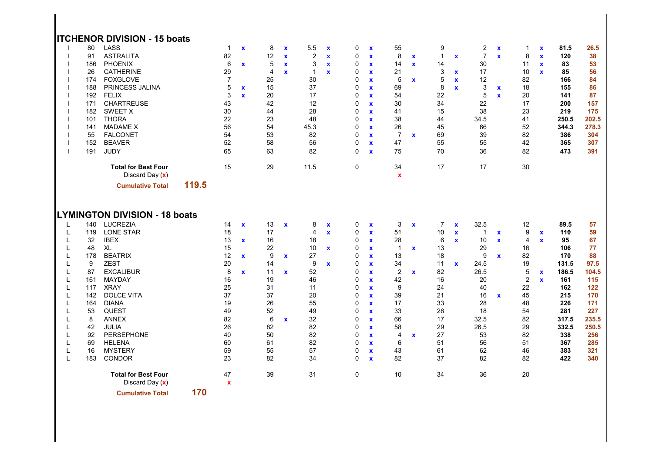|   |                                                                                            | <b>ITCHENOR DIVISION - 15 boats</b>                                                                                                                                                                                                        |       |                                                                                                       |                                                            |                                                                                                     |                                                           |                                                                                                          |                                                                         |                                                                                                                      |                                                                                                                                                                                                                     |                                                                                            |                                                             |                                                                                          |                                                           |                                                                                             |                                                                   |                                                                                |                                                             |                                                                                                   |                                                                                               |
|---|--------------------------------------------------------------------------------------------|--------------------------------------------------------------------------------------------------------------------------------------------------------------------------------------------------------------------------------------------|-------|-------------------------------------------------------------------------------------------------------|------------------------------------------------------------|-----------------------------------------------------------------------------------------------------|-----------------------------------------------------------|----------------------------------------------------------------------------------------------------------|-------------------------------------------------------------------------|----------------------------------------------------------------------------------------------------------------------|---------------------------------------------------------------------------------------------------------------------------------------------------------------------------------------------------------------------|--------------------------------------------------------------------------------------------|-------------------------------------------------------------|------------------------------------------------------------------------------------------|-----------------------------------------------------------|---------------------------------------------------------------------------------------------|-------------------------------------------------------------------|--------------------------------------------------------------------------------|-------------------------------------------------------------|---------------------------------------------------------------------------------------------------|-----------------------------------------------------------------------------------------------|
|   | 80<br>91<br>186<br>26<br>174<br>188<br>192<br>171<br>182<br>101<br>141<br>55<br>152<br>191 | LASS<br><b>ASTRALITA</b><br><b>PHOENIX</b><br><b>CATHERINE</b><br><b>FOXGLOVE</b><br>PRINCESS JALINA<br><b>FELIX</b><br><b>CHARTREUSE</b><br>SWEET X<br><b>THORA</b><br><b>MADAME X</b><br><b>FALCONET</b><br><b>BEAVER</b><br><b>JUDY</b> |       | $\overline{1}$<br>82<br>6<br>29<br>$\overline{7}$<br>5<br>3<br>43<br>30<br>22<br>56<br>54<br>52<br>65 | $\mathbf x$<br>$\mathbf{x}$<br>$\mathbf x$<br>$\mathbf{x}$ | 8<br>12<br>5<br>$\overline{\mathbf{4}}$<br>25<br>15<br>20<br>42<br>44<br>23<br>54<br>53<br>58<br>63 | $\mathbf x$<br>$\mathbf x$<br>$\mathbf x$<br>$\mathbf{x}$ | 5.5<br>$\overline{2}$<br>3<br>$\mathbf{1}$<br>30<br>37<br>17<br>12<br>28<br>48<br>45.3<br>82<br>56<br>82 | $\boldsymbol{\mathsf{x}}$<br>$\mathbf x$<br>$\mathbf x$<br>$\mathbf{x}$ | 0<br>0<br>0<br>0<br>$\mathbf 0$<br>0<br>$\mathbf 0$<br>$\mathbf 0$<br>0<br>$\mathbf 0$<br>$\mathbf 0$<br>0<br>0<br>0 | $\mathbf x$<br>$\mathbf x$<br>$\mathbf x$<br>$\mathbf x$<br>$\mathbf x$<br>$\mathbf x$<br>$\mathbf{x}$<br>$\mathbf{x}$<br>$\mathbf x$<br>$\mathbf{x}$<br>$\mathbf x$<br>$\mathbf x$<br>$\mathbf{x}$<br>$\mathbf{x}$ | 55<br>8<br>14<br>21<br>5<br>69<br>54<br>30<br>41<br>38<br>26<br>$\overline{7}$<br>47<br>75 | $\mathbf{x}$<br>$\mathbf{x}$<br>$\mathbf{x}$<br>$\mathbf x$ | 9<br>$\overline{1}$<br>14<br>3<br>5<br>8<br>22<br>34<br>15<br>44<br>45<br>69<br>55<br>70 | $\mathbf x$<br>$\mathbf x$<br>$\mathbf x$<br>$\mathbf{x}$ | 2<br>$\overline{7}$<br>30<br>17<br>12<br>3<br>5<br>22<br>38<br>34.5<br>66<br>39<br>55<br>36 | $\pmb{\mathsf{x}}$<br>$\mathbf{x}$<br>$\mathbf x$<br>$\mathbf{x}$ | 1<br>8<br>11<br>10<br>82<br>18<br>20<br>17<br>23<br>41<br>52<br>82<br>42<br>82 | $\pmb{\chi}$<br>$\mathbf x$<br>$\mathbf{x}$<br>$\mathbf{x}$ | 81.5<br>120<br>83<br>85<br>166<br>155<br>141<br>200<br>219<br>250.5<br>344.3<br>386<br>365<br>473 | 26.5<br>38<br>53<br>56<br>84<br>86<br>87<br>157<br>175<br>202.5<br>278.3<br>304<br>307<br>391 |
|   |                                                                                            | <b>Total for Best Four</b><br>Discard Day (x)                                                                                                                                                                                              |       | 15                                                                                                    |                                                            | 29                                                                                                  |                                                           | 11.5                                                                                                     |                                                                         | $\mathbf 0$                                                                                                          |                                                                                                                                                                                                                     | 34<br>$\mathbf x$                                                                          |                                                             | 17                                                                                       |                                                           | 17                                                                                          |                                                                   | 30                                                                             |                                                             |                                                                                                   |                                                                                               |
|   |                                                                                            | <b>Cumulative Total</b>                                                                                                                                                                                                                    | 119.5 |                                                                                                       |                                                            |                                                                                                     |                                                           |                                                                                                          |                                                                         |                                                                                                                      |                                                                                                                                                                                                                     |                                                                                            |                                                             |                                                                                          |                                                           |                                                                                             |                                                                   |                                                                                |                                                             |                                                                                                   |                                                                                               |
|   |                                                                                            | <b>LYMINGTON DIVISION - 18 boats</b>                                                                                                                                                                                                       |       |                                                                                                       |                                                            |                                                                                                     |                                                           |                                                                                                          |                                                                         |                                                                                                                      |                                                                                                                                                                                                                     |                                                                                            |                                                             |                                                                                          |                                                           |                                                                                             |                                                                   |                                                                                |                                                             |                                                                                                   |                                                                                               |
| L | 140                                                                                        | <b>LUCREZIA</b>                                                                                                                                                                                                                            |       | 14                                                                                                    | $\mathbf{x}$                                               | 13                                                                                                  | $\mathbf x$                                               | 8                                                                                                        | $\mathbf x$                                                             | 0                                                                                                                    | $\mathbf x$                                                                                                                                                                                                         | 3                                                                                          | $\mathbf x$                                                 | $\overline{7}$                                                                           | $\mathbf x$                                               | 32.5                                                                                        |                                                                   | 12                                                                             |                                                             | 89.5                                                                                              | 57                                                                                            |
| L | 119                                                                                        | <b>LONE STAR</b>                                                                                                                                                                                                                           |       | 18                                                                                                    |                                                            | 17                                                                                                  |                                                           | $\overline{4}$                                                                                           | $\mathbf x$                                                             | 0                                                                                                                    | $\mathbf x$                                                                                                                                                                                                         | 51                                                                                         |                                                             | 10                                                                                       | $\mathbf x$                                               | $\blacktriangleleft$                                                                        | $\mathbf x$                                                       | 9                                                                              | $\mathbf x$                                                 | 110                                                                                               | 59                                                                                            |
| L | 32                                                                                         | <b>IBEX</b>                                                                                                                                                                                                                                |       | 13                                                                                                    | $\mathbf{x}$                                               | 16                                                                                                  |                                                           | 18                                                                                                       |                                                                         | $\mathbf 0$                                                                                                          | $\mathbf x$                                                                                                                                                                                                         | 28                                                                                         |                                                             | $\,6\,$                                                                                  | $\mathbf{x}$                                              | $10$                                                                                        | $\mathbf{x}$                                                      | 4                                                                              | $\mathbf{x}$                                                | 95                                                                                                | 67                                                                                            |
| L | 48                                                                                         | XL                                                                                                                                                                                                                                         |       | 15                                                                                                    |                                                            | 22                                                                                                  |                                                           | 10                                                                                                       | $\mathbf{x}$                                                            | 0                                                                                                                    | $\mathbf{x}$                                                                                                                                                                                                        | $\mathbf{1}$                                                                               | $\mathbf{x}$                                                | 13                                                                                       |                                                           | 29                                                                                          |                                                                   | 16                                                                             |                                                             | 106                                                                                               | 77                                                                                            |
| L | 178                                                                                        | <b>BEATRIX</b>                                                                                                                                                                                                                             |       | 12                                                                                                    | $\mathbf x$                                                | 9                                                                                                   | $\mathbf x$                                               | 27                                                                                                       |                                                                         | 0                                                                                                                    | $\mathbf x$                                                                                                                                                                                                         | 13                                                                                         |                                                             | 18                                                                                       |                                                           | 9                                                                                           | $\mathbf x$                                                       | 82                                                                             |                                                             | 170                                                                                               | 88                                                                                            |
| L | 9                                                                                          | <b>ZEST</b>                                                                                                                                                                                                                                |       | 20                                                                                                    |                                                            | 14                                                                                                  |                                                           | 9                                                                                                        | $\mathbf{x}$                                                            | 0                                                                                                                    | $\mathbf x$                                                                                                                                                                                                         | 34                                                                                         |                                                             | 11                                                                                       | $\mathbf{x}$                                              | 24.5                                                                                        |                                                                   | 19                                                                             |                                                             | 131.5                                                                                             | 97.5                                                                                          |
| L | 87                                                                                         | <b>EXCALIBUR</b>                                                                                                                                                                                                                           |       | 8                                                                                                     | $\mathbf{x}$                                               | 11                                                                                                  | $\mathbf{x}$                                              | 52                                                                                                       |                                                                         | $\mathbf 0$                                                                                                          | $\mathbf{x}$                                                                                                                                                                                                        | $\overline{2}$                                                                             | $\mathbf{x}$                                                | 82                                                                                       |                                                           | 26.5                                                                                        |                                                                   | 5                                                                              | $\mathbf x$                                                 | 186.5                                                                                             | 104.5                                                                                         |
| L | 161                                                                                        | MAYDAY                                                                                                                                                                                                                                     |       | 16                                                                                                    |                                                            | 19                                                                                                  |                                                           | 46                                                                                                       |                                                                         | 0                                                                                                                    | $\mathbf x$                                                                                                                                                                                                         | 42                                                                                         |                                                             | 16                                                                                       |                                                           | 20                                                                                          |                                                                   | $\overline{\mathbf{c}}$                                                        | $\mathbf{x}$                                                | 161                                                                                               | 115                                                                                           |
| L | 117                                                                                        | <b>XRAY</b>                                                                                                                                                                                                                                |       | 25                                                                                                    |                                                            | 31                                                                                                  |                                                           | 11                                                                                                       |                                                                         | $\mathbf 0$                                                                                                          | $\mathbf{x}$                                                                                                                                                                                                        | 9                                                                                          |                                                             | 24                                                                                       |                                                           | 40                                                                                          |                                                                   | 22                                                                             |                                                             | 162                                                                                               | 122                                                                                           |
| L | 142                                                                                        | <b>DOLCE VITA</b>                                                                                                                                                                                                                          |       | 37                                                                                                    |                                                            | 37                                                                                                  |                                                           | 20                                                                                                       |                                                                         | 0                                                                                                                    | $\mathbf x$                                                                                                                                                                                                         | 39                                                                                         |                                                             | 21                                                                                       |                                                           | 16                                                                                          | $\mathbf{x}$                                                      | 45                                                                             |                                                             | 215                                                                                               | 170                                                                                           |
| L | 164                                                                                        | <b>DIANA</b>                                                                                                                                                                                                                               |       | 19                                                                                                    |                                                            | 26                                                                                                  |                                                           | 55                                                                                                       |                                                                         | 0                                                                                                                    | $\mathbf x$                                                                                                                                                                                                         | 17                                                                                         |                                                             | 33                                                                                       |                                                           | 28                                                                                          |                                                                   | 48                                                                             |                                                             | 226                                                                                               | 171                                                                                           |
| L | 53                                                                                         | <b>QUEST</b>                                                                                                                                                                                                                               |       | 49                                                                                                    |                                                            | 52                                                                                                  |                                                           | 49                                                                                                       |                                                                         | $\mathbf 0$                                                                                                          | $\mathbf{x}$                                                                                                                                                                                                        | 33                                                                                         |                                                             | 26                                                                                       |                                                           | 18                                                                                          |                                                                   | 54                                                                             |                                                             | 281                                                                                               | 227                                                                                           |
| L | 8                                                                                          | <b>ANNEX</b>                                                                                                                                                                                                                               |       | 82                                                                                                    |                                                            | 6                                                                                                   | $\mathbf x$                                               | 32                                                                                                       |                                                                         | 0                                                                                                                    | $\mathbf x$                                                                                                                                                                                                         | 66                                                                                         |                                                             | 17                                                                                       |                                                           | 32.5                                                                                        |                                                                   | 82                                                                             |                                                             | 317.5                                                                                             | 235.5                                                                                         |
| L | 42                                                                                         | JULIA                                                                                                                                                                                                                                      |       | 26                                                                                                    |                                                            | 82                                                                                                  |                                                           | 82                                                                                                       |                                                                         | $\mathbf 0$                                                                                                          | $\mathbf x$                                                                                                                                                                                                         | 58                                                                                         |                                                             | 29                                                                                       |                                                           | 26.5                                                                                        |                                                                   | 29                                                                             |                                                             | 332.5                                                                                             | 250.5                                                                                         |
| L | 92                                                                                         | <b>PERSEPHONE</b>                                                                                                                                                                                                                          |       | 40                                                                                                    |                                                            | 50                                                                                                  |                                                           | 82                                                                                                       |                                                                         | $\mathbf 0$                                                                                                          | $\mathbf x$                                                                                                                                                                                                         | $\overline{4}$                                                                             | $\mathbf{x}$                                                | 27                                                                                       |                                                           | 53                                                                                          |                                                                   | 82                                                                             |                                                             | 338                                                                                               | 256                                                                                           |
| L | 69                                                                                         | HELENA                                                                                                                                                                                                                                     |       | 60                                                                                                    |                                                            | 61                                                                                                  |                                                           | 82                                                                                                       |                                                                         | 0                                                                                                                    | $\mathbf x$                                                                                                                                                                                                         | 6                                                                                          |                                                             | 51                                                                                       |                                                           | 56                                                                                          |                                                                   | 51                                                                             |                                                             | 367                                                                                               | 285                                                                                           |
| L | 16                                                                                         | <b>MYSTERY</b>                                                                                                                                                                                                                             |       | 59                                                                                                    |                                                            | 55                                                                                                  |                                                           | 57                                                                                                       |                                                                         | 0                                                                                                                    | $\mathbf{x}$                                                                                                                                                                                                        | 43                                                                                         |                                                             | 61                                                                                       |                                                           | 62                                                                                          |                                                                   | 46                                                                             |                                                             | 383                                                                                               | 321                                                                                           |
| L | 183                                                                                        | CONDOR                                                                                                                                                                                                                                     |       | 23                                                                                                    |                                                            | 82                                                                                                  |                                                           | 34                                                                                                       |                                                                         | 0                                                                                                                    | $\mathbf{x}$                                                                                                                                                                                                        | 82                                                                                         |                                                             | 37                                                                                       |                                                           | 82                                                                                          |                                                                   | 82                                                                             |                                                             | 422                                                                                               | 340                                                                                           |
|   |                                                                                            | <b>Total for Best Four</b><br>Discard Day $(x)$                                                                                                                                                                                            |       | 47<br>$\mathbf x$                                                                                     |                                                            | 39                                                                                                  |                                                           | 31                                                                                                       |                                                                         | 0                                                                                                                    |                                                                                                                                                                                                                     | 10                                                                                         |                                                             | 34                                                                                       |                                                           | 36                                                                                          |                                                                   | 20                                                                             |                                                             |                                                                                                   |                                                                                               |
|   |                                                                                            | <b>Cumulative Total</b>                                                                                                                                                                                                                    | 170   |                                                                                                       |                                                            |                                                                                                     |                                                           |                                                                                                          |                                                                         |                                                                                                                      |                                                                                                                                                                                                                     |                                                                                            |                                                             |                                                                                          |                                                           |                                                                                             |                                                                   |                                                                                |                                                             |                                                                                                   |                                                                                               |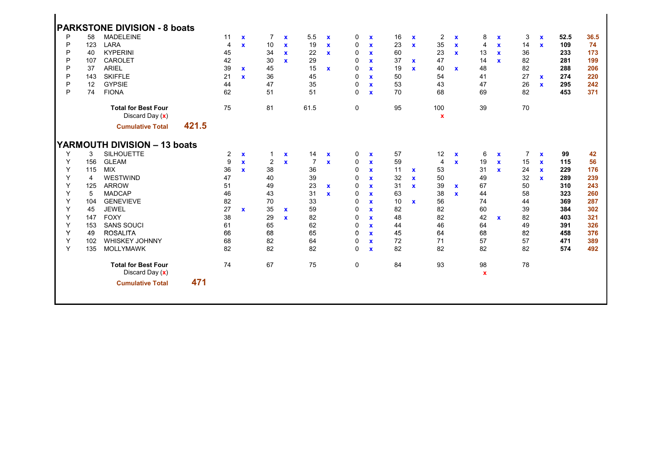|   |                | <b>PARKSTONE DIVISION - 8 boats</b> |       |                |              |                |              |                |              |             |              |    |              |                |              |                |              |                |              |      |      |
|---|----------------|-------------------------------------|-------|----------------|--------------|----------------|--------------|----------------|--------------|-------------|--------------|----|--------------|----------------|--------------|----------------|--------------|----------------|--------------|------|------|
|   |                |                                     |       |                |              |                |              |                |              |             |              |    |              |                |              |                |              |                |              |      |      |
| P | 58             | <b>MADELEINE</b>                    |       | 11             | $\mathbf x$  | $\overline{7}$ | $\mathbf{x}$ | 5.5            | $\mathbf{x}$ | 0           | $\mathbf{x}$ | 16 | $\mathbf{x}$ | $\overline{2}$ | $\mathbf{x}$ | 8              | $\mathbf x$  | 3              | $\mathbf{x}$ | 52.5 | 36.5 |
| P | 123            | LARA                                |       | $\overline{4}$ | $\mathbf{x}$ | 10             | $\mathbf{x}$ | 19             | $\mathbf{x}$ | 0           | $\mathbf{x}$ | 23 | $\mathbf{x}$ | 35             | $\mathbf{x}$ | $\overline{4}$ | $\mathbf{x}$ | 14             | $\mathbf{x}$ | 109  | 74   |
| P | 40             | <b>KYPERINI</b>                     |       | 45             |              | 34             | $\mathbf x$  | 22             | $\mathbf{x}$ | 0           | $\mathbf x$  | 60 |              | 23             | $\mathbf{x}$ | 13             | $\mathbf{x}$ | 36             |              | 233  | 173  |
| P | 107            | <b>CAROLET</b>                      |       | 42             |              | 30             | $\mathbf{x}$ | 29             |              | $\mathbf 0$ | $\mathbf x$  | 37 | $\mathbf{x}$ | 47             |              | 14             | $\mathbf{x}$ | 82             |              | 281  | 199  |
| P | 37             | <b>ARIEL</b>                        |       | 39             | $\mathbf{x}$ | 45             |              | 15             | $\mathbf{x}$ | 0           | $\mathbf x$  | 19 | $\mathbf{x}$ | 40             | $\mathbf{x}$ | 48             |              | 82             |              | 288  | 206  |
| P | 143            | <b>SKIFFLE</b>                      |       | 21             | $\mathbf{x}$ | 36             |              | 45             |              | $\mathbf 0$ | $\mathbf{x}$ | 50 |              | 54             |              | 41             |              | 27             | $\mathbf{x}$ | 274  | 220  |
| P | 12             | <b>GYPSIE</b>                       |       | 44             |              | 47             |              | 35             |              | 0           | $\mathbf{x}$ | 53 |              | 43             |              | 47             |              | 26             | $\mathbf{x}$ | 295  | 242  |
| P | 74             | <b>FIONA</b>                        |       | 62             |              | 51             |              | 51             |              | $\Omega$    | $\mathbf{x}$ | 70 |              | 68             |              | 69             |              | 82             |              | 453  | 371  |
|   |                | <b>Total for Best Four</b>          |       | 75             |              | 81             |              | 61.5           |              | $\mathbf 0$ |              | 95 |              | 100            |              | 39             |              | 70             |              |      |      |
|   |                | Discard Day $(x)$                   |       |                |              |                |              |                |              |             |              |    |              | $\mathbf x$    |              |                |              |                |              |      |      |
|   |                | <b>Cumulative Total</b>             | 421.5 |                |              |                |              |                |              |             |              |    |              |                |              |                |              |                |              |      |      |
|   |                | <b>YARMOUTH DIVISION - 13 boats</b> |       |                |              |                |              |                |              |             |              |    |              |                |              |                |              |                |              |      |      |
| Y | 3              | <b>SILHOUETTE</b>                   |       | 2              | $\mathbf{x}$ | $\mathbf 1$    | $\mathbf x$  | 14             | $\mathbf{x}$ | 0           | $\mathbf x$  | 57 |              | 12             | $\mathbf x$  | 6              | $\mathbf{x}$ | $\overline{7}$ | $\mathbf{x}$ | 99   | 42   |
| Y | 156            | <b>GLEAM</b>                        |       | 9              | $\mathbf{x}$ | 2              | $\mathbf{x}$ | $\overline{7}$ | $\mathbf{x}$ | 0           | $\mathbf{x}$ | 59 |              | $\overline{4}$ | $\mathbf{x}$ | 19             | $\mathbf{x}$ | 15             | $\mathbf{x}$ | 115  | 56   |
| Y | 115            | <b>MIX</b>                          |       | 36             | $\mathbf{x}$ | 38             |              | 36             |              | $\mathbf 0$ | $\mathbf{x}$ | 11 | $\mathbf{x}$ | 53             |              | 31             | $\mathbf{x}$ | 24             | $\mathbf{x}$ | 229  | 176  |
| Y | $\overline{4}$ | WESTWIND                            |       | 47             |              | 40             |              | 39             |              | 0           | $\mathbf x$  | 32 | $\mathbf{x}$ | 50             |              | 49             |              | 32             | $\mathbf{x}$ | 289  | 239  |
| Y | 125            | <b>ARROW</b>                        |       | 51             |              | 49             |              | 23             | $\mathbf{x}$ | 0           | $\mathbf x$  | 31 | $\mathbf{x}$ | 39             | $\mathbf{x}$ | 67             |              | 50             |              | 310  | 243  |
| Y | 5              | <b>MADCAP</b>                       |       | 46             |              | 43             |              | 31             | $\mathbf{x}$ | 0           | $\mathbf x$  | 63 |              | 38             | $\mathbf{x}$ | 44             |              | 58             |              | 323  | 260  |
| Y | 104            | <b>GENEVIEVE</b>                    |       | 82             |              | 70             |              | 33             |              | 0           | $\mathbf x$  | 10 | $\mathbf{x}$ | 56             |              | 74             |              | 44             |              | 369  | 287  |
| Y | 45             | <b>JEWEL</b>                        |       | 27             | $\mathbf{x}$ | 35             | $\mathbf{x}$ | 59             |              | 0           | $\mathbf{x}$ | 82 |              | 82             |              | 60             |              | 39             |              | 384  | 302  |
| Y | 147            | <b>FOXY</b>                         |       | 38             |              | 29             | $\mathbf{x}$ | 82             |              | 0           | $\mathbf{x}$ | 48 |              | 82             |              | 42             | $\mathbf{x}$ | 82             |              | 403  | 321  |
| Y | 153            | <b>SANS SOUCI</b>                   |       | 61             |              | 65             |              | 62             |              | $\Omega$    | $\mathbf{x}$ | 44 |              | 46             |              | 64             |              | 49             |              | 391  | 326  |
| Y | 49             | <b>ROSALITA</b>                     |       | 66             |              | 68             |              | 65             |              | 0           | $\mathbf{x}$ | 45 |              | 64             |              | 68             |              | 82             |              | 458  | 376  |
| Υ | 102            | <b>WHISKEY JOHNNY</b>               |       | 68             |              | 82             |              | 64             |              | 0           | $\mathbf x$  | 72 |              | 71             |              | 57             |              | 57             |              | 471  | 389  |
| Y | 135            | <b>MOLLYMAWK</b>                    |       | 82             |              | 82             |              | 82             |              | $\Omega$    | $\mathbf x$  | 82 |              | 82             |              | 82             |              | 82             |              | 574  | 492  |
|   |                | <b>Total for Best Four</b>          |       | 74             |              | 67             |              | 75             |              | 0           |              | 84 |              | 93             |              | 98             |              | 78             |              |      |      |
|   |                | Discard Day $(x)$                   |       |                |              |                |              |                |              |             |              |    |              |                |              | $\mathbf{x}$   |              |                |              |      |      |
|   |                | <b>Cumulative Total</b>             | 471   |                |              |                |              |                |              |             |              |    |              |                |              |                |              |                |              |      |      |
|   |                |                                     |       |                |              |                |              |                |              |             |              |    |              |                |              |                |              |                |              |      |      |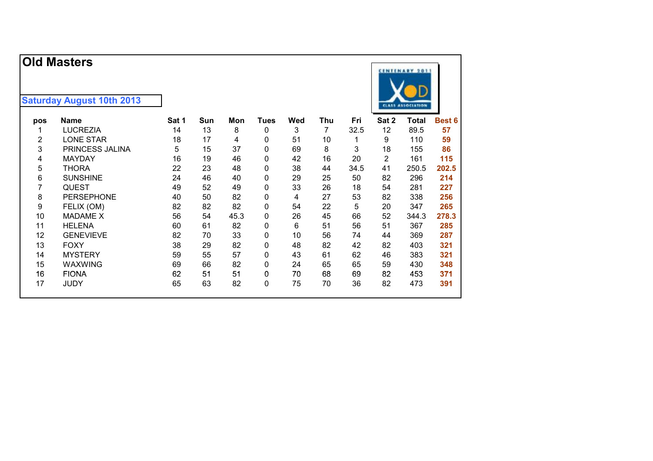|     | <b>Old Masters</b>               |       |     |     |             |     |     |      |       | <b>CENTENARY 2011</b>    |               |
|-----|----------------------------------|-------|-----|-----|-------------|-----|-----|------|-------|--------------------------|---------------|
|     | <b>Saturday August 10th 2013</b> |       |     |     |             |     |     |      |       | <b>CLASS ASSOCIATION</b> |               |
| pos | <b>Name</b>                      | Sat 1 | Sun | Mon | <b>Tues</b> | Wed | Thu | Fri  | Sat 2 | Total                    | <b>Best 6</b> |
|     | LUCREZIA                         | 14    | 13  | 8   | 0           | 3   |     | 32.5 | 12    | 89.5                     | 57            |
| 2   | LONE STAR                        | 18    | 17  | 4   | 0           | 51  | 10  |      | 9     | 110                      | 59            |
| 3   | <b>PRINCESS JALINA</b>           | 5     | 15  | 37  | 0           | 69  | 8   | 3    | 18    | 155                      | 86            |
| 4   | <b>MAYDAY</b>                    | 16    | 19  | 46  | 0           | 42  | 16  | 20   | 2     | 161                      | 115           |
| 5   | <b>THORA</b>                     | 22    | 23  | 48  | 0           | 38  | 44  | 34.5 | 41    | 250.5                    | 202.5         |
| 6   | <b>SUNSHINE</b>                  | 24    | 46  | 40  | 0           | 29  | 25  | 50   | 82    | 296                      | 214           |
|     | <b>QUEST</b>                     | 49    | 52  | 49  | 0           | 33  | 26  | 18   | 54    | 281                      | 227           |
| 8   | <b>PERSEPHONE</b>                | 40    | 50  | 82  | 0           | 4   | 27  | 53   | 82    | 338                      | 256           |

 FELIX (OM) 82 82 82 0 54 22 5 20 347 **265** 10 MADAME X 56 54 45.3 0 26 45 66 52 344.3 **278.3** 11 HELENA 60 61 82 0 6 51 56 51 367 **285** GENEVIEVE 82 70 33 0 10 56 74 44 369 **287** FOXY 38 29 82 0 48 82 42 82 403 **321** 14 MYSTERY 59 55 57 0 43 61 62 46 383 **321** WAXWING 69 66 82 0 24 65 65 59 430 **348** FIONA 62 51 51 0 70 68 69 82 453 **371** JUDY 65 63 82 0 75 70 36 82 473 **391**

**hamble Sat 2 Total Best 6**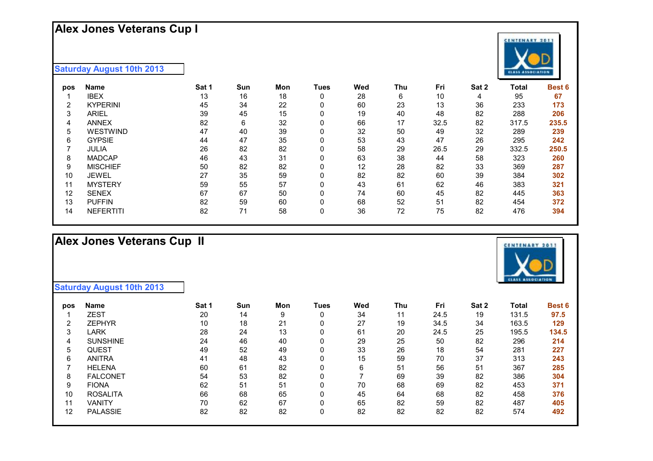### **Alex Jones Veterans Cup I**



| pos | Name             | Sat 1 | Sun | Mon | Tues | Wed | Thu | Fri  | Sat 2 | Total | Best 6 |
|-----|------------------|-------|-----|-----|------|-----|-----|------|-------|-------|--------|
|     | <b>IBEX</b>      | 13    | 16  | 18  | 0    | 28  | 6   | 10   | 4     | 95    | 67     |
| 2   | <b>KYPERINI</b>  | 45    | 34  | 22  | 0    | 60  | 23  | 13   | 36    | 233   | 173    |
| 3   | <b>ARIEL</b>     | 39    | 45  | 15  | 0    | 19  | 40  | 48   | 82    | 288   | 206    |
| 4   | <b>ANNEX</b>     | 82    | 6   | 32  | 0    | 66  | 17  | 32.5 | 82    | 317.5 | 235.5  |
| 5   | WESTWIND         | 47    | 40  | 39  |      | 32  | 50  | 49   | 32    | 289   | 239    |
| 6   | <b>GYPSIE</b>    | 44    | 47  | 35  | 0    | 53  | 43  | 47   | 26    | 295   | 242    |
|     | <b>JULIA</b>     | 26    | 82  | 82  | 0    | 58  | 29  | 26.5 | 29    | 332.5 | 250.5  |
| 8   | <b>MADCAP</b>    | 46    | 43  | 31  | 0    | 63  | 38  | 44   | 58    | 323   | 260    |
| 9   | <b>MISCHIEF</b>  | 50    | 82  | 82  | 0    | 12  | 28  | 82   | 33    | 369   | 287    |
| 10  | <b>JEWEL</b>     | 27    | 35  | 59  | 0    | 82  | 82  | 60   | 39    | 384   | 302    |
| 11  | <b>MYSTERY</b>   | 59    | 55  | 57  | 0    | 43  | 61  | 62   | 46    | 383   | 321    |
| 12  | <b>SENEX</b>     | 67    | 67  | 50  |      | 74  | 60  | 45   | 82    | 445   | 363    |
| 13  | <b>PUFFIN</b>    | 82    | 59  | 60  | 0    | 68  | 52  | 51   | 82    | 454   | 372    |
| 14  | <b>NEFERTITI</b> | 82    | 71  | 58  |      | 36  | 72  | 75   | 82    | 476   | 394    |

# **Alex Jones Veterans Cup II**

| pos               | <b>Name</b>     | Sat 1 | Sun | Mon | <b>Tues</b> | Wed | Thu | Fri  | Sat 2 | <b>Total</b> | <b>Best 6</b> |
|-------------------|-----------------|-------|-----|-----|-------------|-----|-----|------|-------|--------------|---------------|
|                   | <b>ZEST</b>     | 20    | 14  | 9   | 0           | 34  | 11  | 24.5 | 19    | 131.5        | 97.5          |
| 2                 | <b>ZEPHYR</b>   | 10    | 18  | 21  | 0           | 27  | 19  | 34.5 | 34    | 163.5        | 129           |
| 3                 | LARK            | 28    | 24  | 13  | 0           | 61  | 20  | 24.5 | 25    | 195.5        | 134.5         |
| 4                 | <b>SUNSHINE</b> | 24    | 46  | 40  | 0           | 29  | 25  | 50   | 82    | 296          | 214           |
| 5                 | <b>QUEST</b>    | 49    | 52  | 49  | 0           | 33  | 26  | 18   | 54    | 281          | 227           |
| 6                 | <b>ANITRA</b>   | 41    | 48  | 43  | 0           | 15  | 59  | 70   | 37    | 313          | 243           |
|                   | <b>HELENA</b>   | 60    | 61  | 82  | 0           | 6   | 51  | 56   | 51    | 367          | 285           |
| 8                 | <b>FALCONET</b> | 54    | 53  | 82  | 0           |     | 69  | 39   | 82    | 386          | 304           |
| 9                 | <b>FIONA</b>    | 62    | 51  | 51  | 0           | 70  | 68  | 69   | 82    | 453          | 371           |
| 10                | <b>ROSALITA</b> | 66    | 68  | 65  | 0           | 45  | 64  | 68   | 82    | 458          | 376           |
| 11                | <b>VANITY</b>   | 70    | 62  | 67  | 0           | 65  | 82  | 59   | 82    | 487          | 405           |
| $12 \overline{ }$ | <b>PALASSIE</b> | 82    | 82  | 82  | 0           | 82  | 82  | 82   | 82    | 574          | 492           |



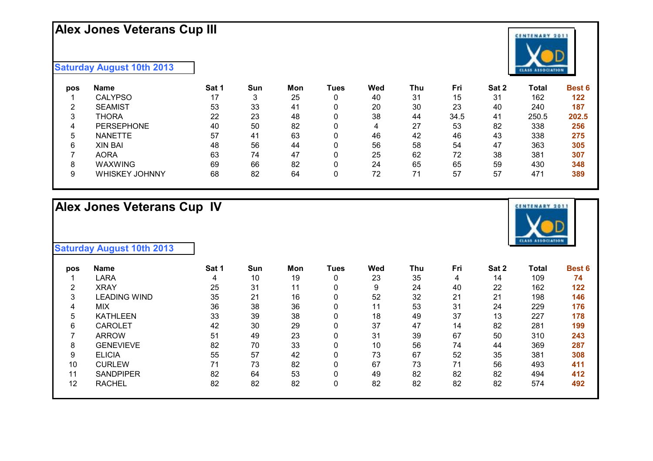# **Alex Jones Veterans Cup III**

#### **Saturday August 10th 2013**

| pos | Name                  | Sat 1 | Sun | Mon | Tues | Wed | Thu | Fri  | Sat 2 | Total | <b>Best 6</b> |
|-----|-----------------------|-------|-----|-----|------|-----|-----|------|-------|-------|---------------|
|     | <b>CALYPSO</b>        | 17    | 3   | 25  | 0    | 40  | 31  | 15   | 31    | 162   | 122           |
| ◠   | <b>SEAMIST</b>        | 53    | 33  | 41  |      | 20  | 30  | 23   | 40    | 240   | 187           |
| 3   | THORA                 | 22    | 23  | 48  |      | 38  | 44  | 34.5 | 41    | 250.5 | 202.5         |
|     | <b>PERSEPHONE</b>     | 40    | 50  | 82  | 0    | 4   | 27  | 53   | 82    | 338   | 256           |
| 5   | <b>NANETTE</b>        | 57    | 41  | 63  |      | 46  | 42  | 46   | 43    | 338   | 275           |
| 6   | <b>XIN BAI</b>        | 48    | 56  | 44  | 0    | 56  | 58  | 54   | 47    | 363   | 305           |
|     | <b>AORA</b>           | 63    | 74  | 47  |      | 25  | 62  | 72   | 38    | 381   | 307           |
| 8   | <b>WAXWING</b>        | 69    | 66  | 82  | 0    | 24  | 65  | 65   | 59    | 430   | 348           |
| 9   | <b>WHISKEY JOHNNY</b> | 68    | 82  | 64  |      | 72  | 74  | 57   | 57    | 471   | 389           |

# **Alex Jones Veterans Cup IV**





| pos | <b>Name</b>      | Sat 1 | Sun | Mon | Tues | Wed | Thu | Fri | Sat 2 | Total | <b>Best 6</b> |
|-----|------------------|-------|-----|-----|------|-----|-----|-----|-------|-------|---------------|
|     | LARA             | 4     | 10  | 19  | 0    | 23  | 35  | 4   | 14    | 109   | 74            |
| ົ   | <b>XRAY</b>      | 25    | 31  | 11  | 0    | 9   | 24  | 40  | 22    | 162   | 122           |
| 3   | LEADING WIND     | 35    | 21  | 16  | 0    | 52  | 32  | 21  | 21    | 198   | 146           |
| 4   | <b>MIX</b>       | 36    | 38  | 36  | 0    | 11  | 53  | 31  | 24    | 229   | 176           |
| 5   | <b>KATHLEEN</b>  | 33    | 39  | 38  | 0    | 18  | 49  | 37  | 13    | 227   | 178           |
| 6   | <b>CAROLET</b>   | 42    | 30  | 29  | 0    | 37  | 47  | 14  | 82    | 281   | 199           |
|     | <b>ARROW</b>     | 51    | 49  | 23  | 0    | 31  | 39  | 67  | 50    | 310   | 243           |
| 8   | <b>GENEVIEVE</b> | 82    | 70  | 33  | 0    | 10  | 56  | 74  | 44    | 369   | 287           |
| 9   | <b>ELICIA</b>    | 55    | 57  | 42  | 0    | 73  | 67  | 52  | 35    | 381   | 308           |
| 10  | <b>CURLEW</b>    | 71    | 73  | 82  | 0    | 67  | 73  | 71  | 56    | 493   | 411           |
| 11  | <b>SANDPIPER</b> | 82    | 64  | 53  | 0    | 49  | 82  | 82  | 82    | 494   | 412           |
| 12  | <b>RACHEL</b>    | 82    | 82  | 82  | 0    | 82  | 82  | 82  | 82    | 574   | 492           |

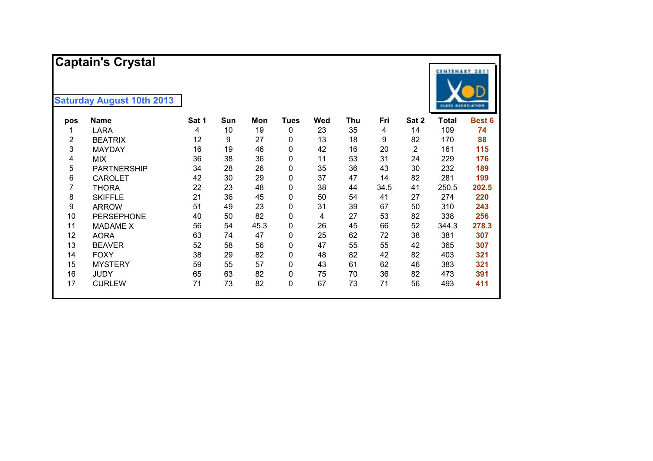|                | <b>Captain's Crystal</b>         |       |     |      |             |     |     |      |       | <b>CENTENARY 2011</b>    |        |
|----------------|----------------------------------|-------|-----|------|-------------|-----|-----|------|-------|--------------------------|--------|
|                | <b>Saturday August 10th 2013</b> |       |     |      |             |     |     |      |       | <b>CLASS ASSOCIATION</b> |        |
| pos            | <b>Name</b>                      | Sat 1 | Sun | Mon  | <b>Tues</b> | Wed | Thu | Fri  | Sat 2 | <b>Total</b>             | Best 6 |
| 1              | <b>LARA</b>                      | 4     | 10  | 19   | 0           | 23  | 35  | 4    | 14    | 109                      | 74     |
| $\overline{2}$ | <b>BEATRIX</b>                   | 12    | 9   | 27   | 0           | 13  | 18  | 9    | 82    | 170                      | 88     |
| 3              | <b>MAYDAY</b>                    | 16    | 19  | 46   | 0           | 42  | 16  | 20   | 2     | 161                      | 115    |
| 4              | <b>MIX</b>                       | 36    | 38  | 36   | 0           | 11  | 53  | 31   | 24    | 229                      | 176    |
| 5              | <b>PARTNERSHIP</b>               | 34    | 28  | 26   | 0           | 35  | 36  | 43   | 30    | 232                      | 189    |
| 6              | <b>CAROLET</b>                   | 42    | 30  | 29   | 0           | 37  | 47  | 14   | 82    | 281                      | 199    |
| 7              | <b>THORA</b>                     | 22    | 23  | 48   | 0           | 38  | 44  | 34.5 | 41    | 250.5                    | 202.5  |
| 8              | <b>SKIFFLE</b>                   | 21    | 36  | 45   | 0           | 50  | 54  | 41   | 27    | 274                      | 220    |
| 9              | <b>ARROW</b>                     | 51    | 49  | 23   | 0           | 31  | 39  | 67   | 50    | 310                      | 243    |
| 10             | <b>PERSEPHONE</b>                | 40    | 50  | 82   | 0           | 4   | 27  | 53   | 82    | 338                      | 256    |
| 11             | <b>MADAME X</b>                  | 56    | 54  | 45.3 | 0           | 26  | 45  | 66   | 52    | 344.3                    | 278.3  |
| 12             | <b>AORA</b>                      | 63    | 74  | 47   | 0           | 25  | 62  | 72   | 38    | 381                      | 307    |
| 13             | <b>BEAVER</b>                    | 52    | 58  | 56   | 0           | 47  | 55  | 55   | 42    | 365                      | 307    |
| 14             | <b>FOXY</b>                      | 38    | 29  | 82   | 0           | 48  | 82  | 42   | 82    | 403                      | 321    |
| 15             | <b>MYSTERY</b>                   | 59    | 55  | 57   | 0           | 43  | 61  | 62   | 46    | 383                      | 321    |
| 16             | <b>JUDY</b>                      | 65    | 63  | 82   | 0           | 75  | 70  | 36   | 82    | 473                      | 391    |
| 17             | <b>CURLEW</b>                    | 71    | 73  | 82   | 0           | 67  | 73  | 71   | 56    | 493                      | 411    |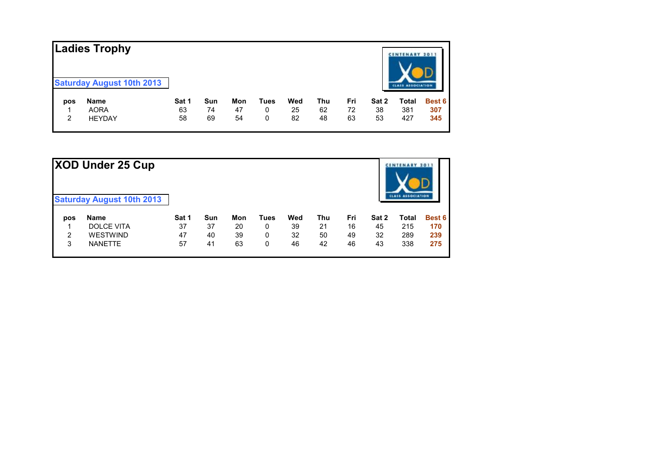|                | <b>Ladies Trophy</b>                            |       |     |     |      |     |     |     |       | <b>CENTENARY 2017</b> |        |
|----------------|-------------------------------------------------|-------|-----|-----|------|-----|-----|-----|-------|-----------------------|--------|
| pos            | <b>Saturday August 10th 2013</b><br><b>Name</b> | Sat 1 | Sun | Mon | Tues | Wed | Thu | Fri | Sat 2 | Total                 | Best 6 |
|                | <b>AORA</b>                                     | 63    | 74  | 47  | 0    | 25  | 62  | 72  | 38    | 381                   | 307    |
| $\overline{2}$ | <b>HEYDAY</b>                                   | 58    | 69  | 54  | 0    | 82  | 48  | 63  | 53    | 427                   | 345    |

|     | XOD Under 25 Cup<br><b>Saturday August 10th 2013</b> |       |     |     |      |     |     |     |       | <b>CINTENARY 2011</b><br><b>LASS ASSOCIATION</b> |        |
|-----|------------------------------------------------------|-------|-----|-----|------|-----|-----|-----|-------|--------------------------------------------------|--------|
| pos | <b>Name</b>                                          | Sat 1 | Sun | Mon | Tues | Wed | Thu | Fri | Sat 2 | Total                                            | Best 6 |
|     | <b>DOLCE VITA</b>                                    | 37    | 37  | 20  | 0    | 39  | 21  | 16  | 45    | 215                                              | 170    |
| 2   | <b>WESTWIND</b>                                      | 47    | 40  | 39  | 0    | 32  | 50  | 49  | 32    | 289                                              | 239    |
| 3   | <b>NANETTE</b>                                       | 57    | 41  | 63  | 0    | 46  | 42  | 46  | 43    | 338                                              | 275    |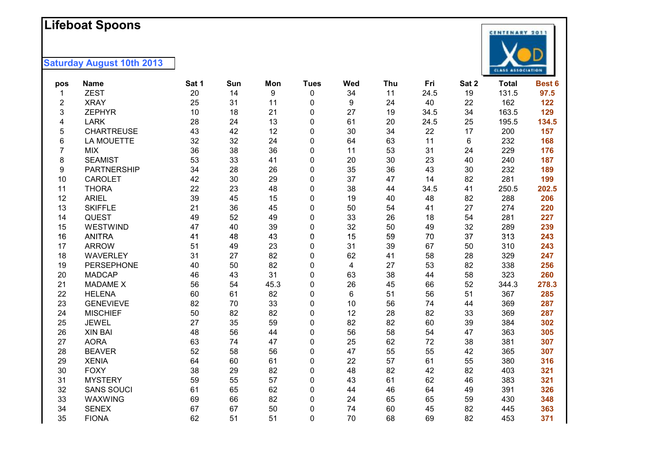#### **L i f ebo a t Spoons**

| pos | <b>Name</b>        | Sat 1 | Sun | Mon  | <b>Tues</b> | Wed | Thu | Fri  | Sat 2 | <b>Total</b> | Best 6 |
|-----|--------------------|-------|-----|------|-------------|-----|-----|------|-------|--------------|--------|
| 1   | <b>ZEST</b>        | 20    | 14  | 9    | 0           | 34  | 11  | 24.5 | 19    | 131.5        | 97.5   |
| 2   | <b>XRAY</b>        | 25    | 31  | 11   | 0           | 9   | 24  | 40   | 22    | 162          | 122    |
| 3   | <b>ZEPHYR</b>      | 10    | 18  | 21   | 0           | 27  | 19  | 34.5 | 34    | 163.5        | 129    |
| 4   | <b>LARK</b>        | 28    | 24  | 13   | 0           | 61  | 20  | 24.5 | 25    | 195.5        | 134.5  |
| 5   | <b>CHARTREUSE</b>  | 43    | 42  | 12   | 0           | 30  | 34  | 22   | 17    | 200          | 157    |
| 6   | <b>LA MOUETTE</b>  | 32    | 32  | 24   | 0           | 64  | 63  | 11   | 6     | 232          | 168    |
| 7   | <b>MIX</b>         | 36    | 38  | 36   | 0           | 11  | 53  | 31   | 24    | 229          | 176    |
| 8   | <b>SEAMIST</b>     | 53    | 33  | 41   | 0           | 20  | 30  | 23   | 40    | 240          | 187    |
| 9   | <b>PARTNERSHIP</b> | 34    | 28  | 26   | 0           | 35  | 36  | 43   | 30    | 232          | 189    |
| 10  | <b>CAROLET</b>     | 42    | 30  | 29   | 0           | 37  | 47  | 14   | 82    | 281          | 199    |
| 11  | <b>THORA</b>       | 22    | 23  | 48   | 0           | 38  | 44  | 34.5 | 41    | 250.5        | 202.5  |
| 12  | <b>ARIEL</b>       | 39    | 45  | 15   | 0           | 19  | 40  | 48   | 82    | 288          | 206    |
| 13  | <b>SKIFFLE</b>     | 21    | 36  | 45   | 0           | 50  | 54  | 41   | 27    | 274          | 220    |
| 14  | <b>QUEST</b>       | 49    | 52  | 49   | 0           | 33  | 26  | 18   | 54    | 281          | 227    |
| 15  | WESTWIND           | 47    | 40  | 39   | 0           | 32  | 50  | 49   | 32    | 289          | 239    |
| 16  | <b>ANITRA</b>      | 41    | 48  | 43   | 0           | 15  | 59  | 70   | 37    | 313          | 243    |
| 17  | <b>ARROW</b>       | 51    | 49  | 23   | 0           | 31  | 39  | 67   | 50    | 310          | 243    |
| 18  | <b>WAVERLEY</b>    | 31    | 27  | 82   | 0           | 62  | 41  | 58   | 28    | 329          | 247    |
| 19  | PERSEPHONE         | 40    | 50  | 82   | 0           | 4   | 27  | 53   | 82    | 338          | 256    |
| 20  | <b>MADCAP</b>      | 46    | 43  | 31   | 0           | 63  | 38  | 44   | 58    | 323          | 260    |
| 21  | <b>MADAME X</b>    | 56    | 54  | 45.3 | 0           | 26  | 45  | 66   | 52    | 344.3        | 278.3  |
| 22  | <b>HELENA</b>      | 60    | 61  | 82   | 0           | 6   | 51  | 56   | 51    | 367          | 285    |
| 23  | <b>GENEVIEVE</b>   | 82    | 70  | 33   | 0           | 10  | 56  | 74   | 44    | 369          | 287    |
| 24  | <b>MISCHIEF</b>    | 50    | 82  | 82   | 0           | 12  | 28  | 82   | 33    | 369          | 287    |
| 25  | <b>JEWEL</b>       | 27    | 35  | 59   | 0           | 82  | 82  | 60   | 39    | 384          | 302    |
| 26  | <b>XIN BAI</b>     | 48    | 56  | 44   | 0           | 56  | 58  | 54   | 47    | 363          | 305    |
| 27  | <b>AORA</b>        | 63    | 74  | 47   | 0           | 25  | 62  | 72   | 38    | 381          | 307    |
| 28  | <b>BEAVER</b>      | 52    | 58  | 56   | 0           | 47  | 55  | 55   | 42    | 365          | 307    |
| 29  | <b>XENIA</b>       | 64    | 60  | 61   | 0           | 22  | 57  | 61   | 55    | 380          | 316    |
| 30  | <b>FOXY</b>        | 38    | 29  | 82   | 0           | 48  | 82  | 42   | 82    | 403          | 321    |
| 31  | <b>MYSTERY</b>     | 59    | 55  | 57   | 0           | 43  | 61  | 62   | 46    | 383          | 321    |
| 32  | <b>SANS SOUCI</b>  | 61    | 65  | 62   | 0           | 44  | 46  | 64   | 49    | 391          | 326    |
| 33  | WAXWING            | 69    | 66  | 82   | 0           | 24  | 65  | 65   | 59    | 430          | 348    |
| 34  | <b>SENEX</b>       | 67    | 67  | 50   | $\mathbf 0$ | 74  | 60  | 45   | 82    | 445          | 363    |
| 35  | <b>FIONA</b>       | 62    | 51  | 51   | 0           | 70  | 68  | 69   | 82    | 453          | 371    |

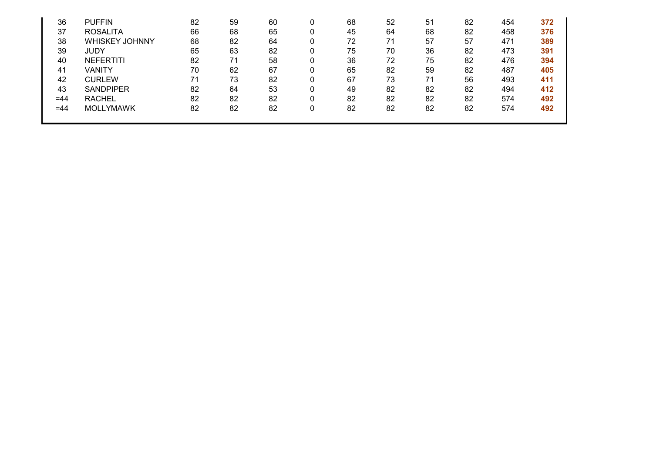| 36    | <b>PUFFIN</b>         | 82 | 59 | 60 | 68 | 52 | 51 | 82 | 454 | 372 |
|-------|-----------------------|----|----|----|----|----|----|----|-----|-----|
| 37    | <b>ROSALITA</b>       | 66 | 68 | 65 | 45 | 64 | 68 | 82 | 458 | 376 |
| 38    | <b>WHISKEY JOHNNY</b> | 68 | 82 | 64 | 72 | 71 | 57 | 57 | 471 | 389 |
| 39    | JUDY                  | 65 | 63 | 82 | 75 | 70 | 36 | 82 | 473 | 391 |
| 40    | <b>NEFERTITI</b>      | 82 | 71 | 58 | 36 | 72 | 75 | 82 | 476 | 394 |
| 41    | VANITY                | 70 | 62 | 67 | 65 | 82 | 59 | 82 | 487 | 405 |
| 42    | <b>CURLEW</b>         | 71 | 73 | 82 | 67 | 73 |    | 56 | 493 | 411 |
| 43    | <b>SANDPIPER</b>      | 82 | 64 | 53 | 49 | 82 | 82 | 82 | 494 | 412 |
| $=44$ | <b>RACHEL</b>         | 82 | 82 | 82 | 82 | 82 | 82 | 82 | 574 | 492 |
| $=44$ | <b>MOLLYMAWK</b>      | 82 | 82 | 82 | 82 | 82 | 82 | 82 | 574 | 492 |
|       |                       |    |    |    |    |    |    |    |     |     |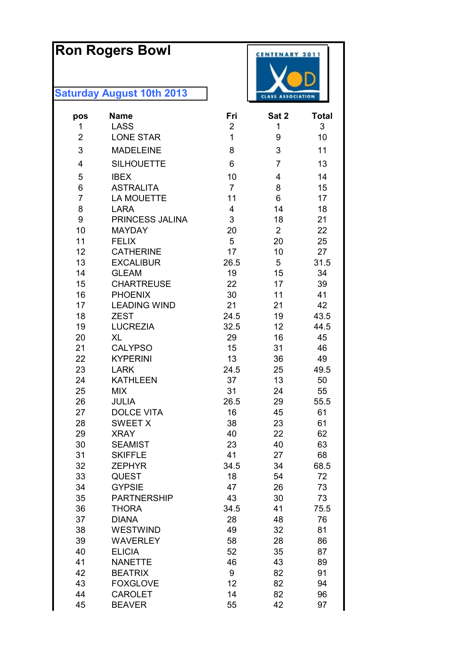# **Ron Rogers Bowl**

| pos            | <b>Name</b>                       | Fri            | Sat 2          | <b>Total</b> |
|----------------|-----------------------------------|----------------|----------------|--------------|
| 1              | <b>LASS</b>                       | $\overline{2}$ | 1              | 3            |
| $\overline{2}$ | <b>LONE STAR</b>                  | 1              | 9              | 10           |
| 3              | <b>MADELEINE</b>                  | 8              | 3              | 11           |
| 4              | <b>SILHOUETTE</b>                 | 6              | 7              | 13           |
| 5              | <b>IBEX</b>                       | 10             | 4              | 14           |
| 6              | <b>ASTRALITA</b>                  | $\overline{7}$ | 8              | 15           |
| $\overline{7}$ | <b>LA MOUETTE</b>                 | 11             | 6              | 17           |
| 8              | <b>LARA</b>                       | $\overline{4}$ | 14             | 18           |
| 9              | PRINCESS JALINA                   | 3              | 18             | 21           |
| 10             | <b>MAYDAY</b>                     | 20             | $\overline{2}$ | 22           |
| 11             | <b>FELIX</b>                      | 5              | 20             | 25           |
| 12             | <b>CATHERINE</b>                  | 17             | 10             | 27           |
| 13             | <b>EXCALIBUR</b>                  | 26.5           | 5              | 31.5         |
| 14<br>15       | <b>GLEAM</b><br><b>CHARTREUSE</b> | 19<br>22       | 15<br>17       | 34<br>39     |
| 16             | <b>PHOENIX</b>                    | 30             | 11             | 41           |
| 17             | <b>LEADING WIND</b>               | 21             | 21             | 42           |
| 18             | <b>ZEST</b>                       | 24.5           | 19             | 43.5         |
| 19             | <b>LUCREZIA</b>                   | 32.5           | 12             | 44.5         |
| 20             | <b>XL</b>                         | 29             | 16             | 45           |
| 21             | <b>CALYPSO</b>                    | 15             | 31             | 46           |
| 22             | <b>KYPERINI</b>                   | 13             | 36             | 49           |
| 23             | <b>LARK</b>                       | 24.5           | 25             | 49.5         |
| 24             | <b>KATHLEEN</b>                   | 37             | 13             | 50           |
| 25             | <b>MIX</b>                        | 31             | 24             | 55           |
| 26             | <b>JULIA</b>                      | 26.5           | 29             | 55.5         |
| 27             | <b>DOLCE VITA</b>                 | 16             | 45             | 61           |
| 28             | <b>SWEET X</b>                    | 38             | 23             | 61           |
| 29             | <b>XRAY</b>                       | 40             | 22             | 62           |
| 30             | <b>SEAMIST</b>                    | 23             | 40             | 63           |
| 31             | <b>SKIFFLE</b>                    | 41             | 27             | 68           |
| 32<br>33       | <b>ZEPHYR</b><br><b>QUEST</b>     | 34.5<br>18     | 34<br>54       | 68.5<br>72   |
| 34             | <b>GYPSIE</b>                     | 47             | 26             | 73           |
| 35             | <b>PARTNERSHIP</b>                | 43             | 30             | 73           |
| 36             | <b>THORA</b>                      | 34.5           | 41             | 75.5         |
| 37             | <b>DIANA</b>                      | 28             | 48             | 76           |
| 38             | <b>WESTWIND</b>                   | 49             | 32             | 81           |
| 39             | <b>WAVERLEY</b>                   | 58             | 28             | 86           |
| 40             | <b>ELICIA</b>                     | 52             | 35             | 87           |
| 41             | <b>NANETTE</b>                    | 46             | 43             | 89           |
| 42             | <b>BEATRIX</b>                    | 9              | 82             | 91           |
| 43             | <b>FOXGLOVE</b>                   | 12             | 82             | 94           |
| 44             | <b>CAROLET</b>                    | 14             | 82             | 96           |
| 45             | <b>BEAVER</b>                     | 55             | 42             | 97           |

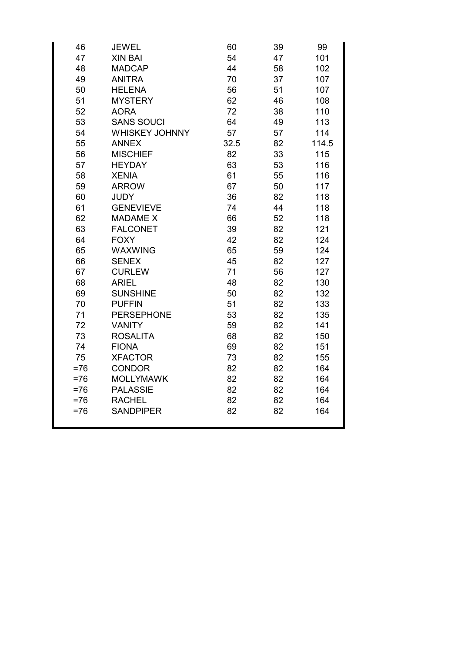| 46     | <b>JEWEL</b>          | 60   | 39 | 99    |
|--------|-----------------------|------|----|-------|
| 47     | <b>XIN BAI</b>        | 54   | 47 | 101   |
| 48     | <b>MADCAP</b>         | 44   | 58 | 102   |
| 49     | <b>ANITRA</b>         | 70   | 37 | 107   |
| 50     | <b>HELENA</b>         | 56   | 51 | 107   |
| 51     | <b>MYSTERY</b>        | 62   | 46 | 108   |
| 52     | <b>AORA</b>           | 72   | 38 | 110   |
| 53     | <b>SANS SOUCI</b>     | 64   | 49 | 113   |
| 54     | <b>WHISKEY JOHNNY</b> | 57   | 57 | 114   |
| 55     | <b>ANNEX</b>          | 32.5 | 82 | 114.5 |
| 56     | <b>MISCHIEF</b>       | 82   | 33 | 115   |
| 57     | <b>HEYDAY</b>         | 63   | 53 | 116   |
| 58     | <b>XENIA</b>          | 61   | 55 | 116   |
| 59     | <b>ARROW</b>          | 67   | 50 | 117   |
| 60     | <b>JUDY</b>           | 36   | 82 | 118   |
| 61     | <b>GENEVIEVE</b>      | 74   | 44 | 118   |
| 62     | <b>MADAME X</b>       | 66   | 52 | 118   |
| 63     | <b>FALCONET</b>       | 39   | 82 | 121   |
| 64     | <b>FOXY</b>           | 42   | 82 | 124   |
| 65     | <b>WAXWING</b>        | 65   | 59 | 124   |
| 66     | <b>SENEX</b>          | 45   | 82 | 127   |
| 67     | <b>CURLEW</b>         | 71   | 56 | 127   |
| 68     | <b>ARIEL</b>          | 48   | 82 | 130   |
| 69     | <b>SUNSHINE</b>       | 50   | 82 | 132   |
| 70     | <b>PUFFIN</b>         | 51   | 82 | 133   |
| 71     | <b>PERSEPHONE</b>     | 53   | 82 | 135   |
| 72     | <b>VANITY</b>         | 59   | 82 | 141   |
| 73     | <b>ROSALITA</b>       | 68   | 82 | 150   |
| 74     | <b>FIONA</b>          | 69   | 82 | 151   |
| 75     | <b>XFACTOR</b>        | 73   | 82 | 155   |
| $= 76$ | <b>CONDOR</b>         | 82   | 82 | 164   |
| $= 76$ | <b>MOLLYMAWK</b>      | 82   | 82 | 164   |
| $= 76$ | <b>PALASSIE</b>       | 82   | 82 | 164   |
| $= 76$ | <b>RACHEL</b>         | 82   | 82 | 164   |
| $= 76$ | <b>SANDPIPER</b>      | 82   | 82 | 164   |
|        |                       |      |    |       |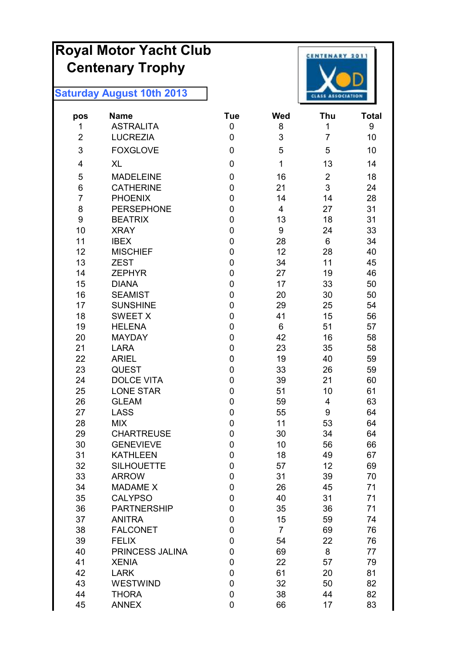# **Royal Motor Yacht Club Centenary Trophy**



| pos            | <b>Name</b>                       | <b>Tue</b>     | Wed                     | Thu            | <b>Total</b> |
|----------------|-----------------------------------|----------------|-------------------------|----------------|--------------|
| 1              | <b>ASTRALITA</b>                  | 0              | 8                       | 1              | 9            |
| $\overline{2}$ | <b>LUCREZIA</b>                   | $\mathbf 0$    | 3                       | $\overline{7}$ | 10           |
| 3              | <b>FOXGLOVE</b>                   | 0              | 5                       | 5              | 10           |
| 4              | <b>XL</b>                         | 0              | 1                       | 13             | 14           |
| 5              | <b>MADELEINE</b>                  | $\pmb{0}$      | 16                      | $\overline{2}$ | 18           |
| 6              | <b>CATHERINE</b>                  | 0              | 21                      | 3              | 24           |
| $\overline{7}$ | <b>PHOENIX</b>                    | 0              | 14                      | 14             | 28           |
| 8              | <b>PERSEPHONE</b>                 | $\mathbf 0$    | $\overline{\mathbf{4}}$ | 27             | 31           |
| 9              | <b>BEATRIX</b>                    | 0              | 13                      | 18             | 31           |
| 10             | <b>XRAY</b>                       | 0              | 9                       | 24             | 33           |
| 11             | <b>IBEX</b>                       | 0              | 28                      | 6              | 34           |
| 12             | <b>MISCHIEF</b>                   | 0              | 12                      | 28             | 40           |
| 13             | <b>ZEST</b>                       | $\mathbf 0$    | 34                      | 11             | 45           |
| 14             | <b>ZEPHYR</b>                     | $\mathbf 0$    | 27                      | 19             | 46           |
| 15             | <b>DIANA</b>                      | 0              | 17                      | 33             | 50           |
| 16             | <b>SEAMIST</b>                    | 0              | 20                      | 30             | 50           |
| 17             | <b>SUNSHINE</b>                   | 0              | 29                      | 25             | 54           |
| 18             | <b>SWEET X</b>                    | 0              | 41                      | 15             | 56           |
| 19             | <b>HELENA</b>                     | 0              | 6                       | 51             | 57           |
| 20             | <b>MAYDAY</b>                     | 0              | 42                      | 16             | 58           |
| 21             | <b>LARA</b>                       | $\overline{0}$ | 23                      | 35             | 58           |
| 22             | <b>ARIEL</b>                      | 0              | 19                      | 40             | 59           |
| 23             | <b>QUEST</b>                      | 0              | 33                      | 26             | 59           |
| 24             | <b>DOLCE VITA</b>                 | 0              | 39                      | 21             | 60           |
| 25             | <b>LONE STAR</b>                  | 0              | 51                      | 10             | 61           |
| 26             | <b>GLEAM</b>                      | 0              | 59                      | 4              | 63           |
| 27             | <b>LASS</b>                       | 0              | 55                      | 9              | 64           |
| 28             | <b>MIX</b>                        | $\mathbf 0$    | 11                      | 53             | 64           |
| 29             | <b>CHARTREUSE</b>                 | 0              | 30                      | 34             | 64           |
| 30             | <b>GENEVIEVE</b>                  | $\mathbf 0$    | 10                      | 56             | 66           |
| 31             | <b>KATHLEEN</b>                   | $\pmb{0}$      | 18                      | 49             | 67           |
| 32             | <b>SILHOUETTE</b>                 | 0              | 57                      | 12             | 69           |
| 33             | <b>ARROW</b>                      | 0              | 31                      | 39             | 70           |
| 34             | <b>MADAME X</b><br><b>CALYPSO</b> | 0              | 26                      | 45             | 71           |
| 35<br>36       | <b>PARTNERSHIP</b>                | 0<br>0         | 40                      | 31<br>36       | 71<br>71     |
| 37             | <b>ANITRA</b>                     | 0              | 35                      |                | 74           |
| 38             | <b>FALCONET</b>                   | 0              | 15<br>$\overline{7}$    | 59<br>69       |              |
| 39             |                                   |                |                         | 22             | 76           |
| 40             | <b>FELIX</b><br>PRINCESS JALINA   | 0              | 54<br>69                |                | 76           |
| 41             | <b>XENIA</b>                      | 0<br>0         | 22                      | 8<br>57        | 77<br>79     |
| 42             | <b>LARK</b>                       | 0              | 61                      | 20             | 81           |
| 43             | <b>WESTWIND</b>                   | 0              | 32                      | 50             | 82           |
| 44             | <b>THORA</b>                      | $\pmb{0}$      | 38                      | 44             | 82           |
| 45             | <b>ANNEX</b>                      | 0              | 66                      | 17             | 83           |
|                |                                   |                |                         |                |              |